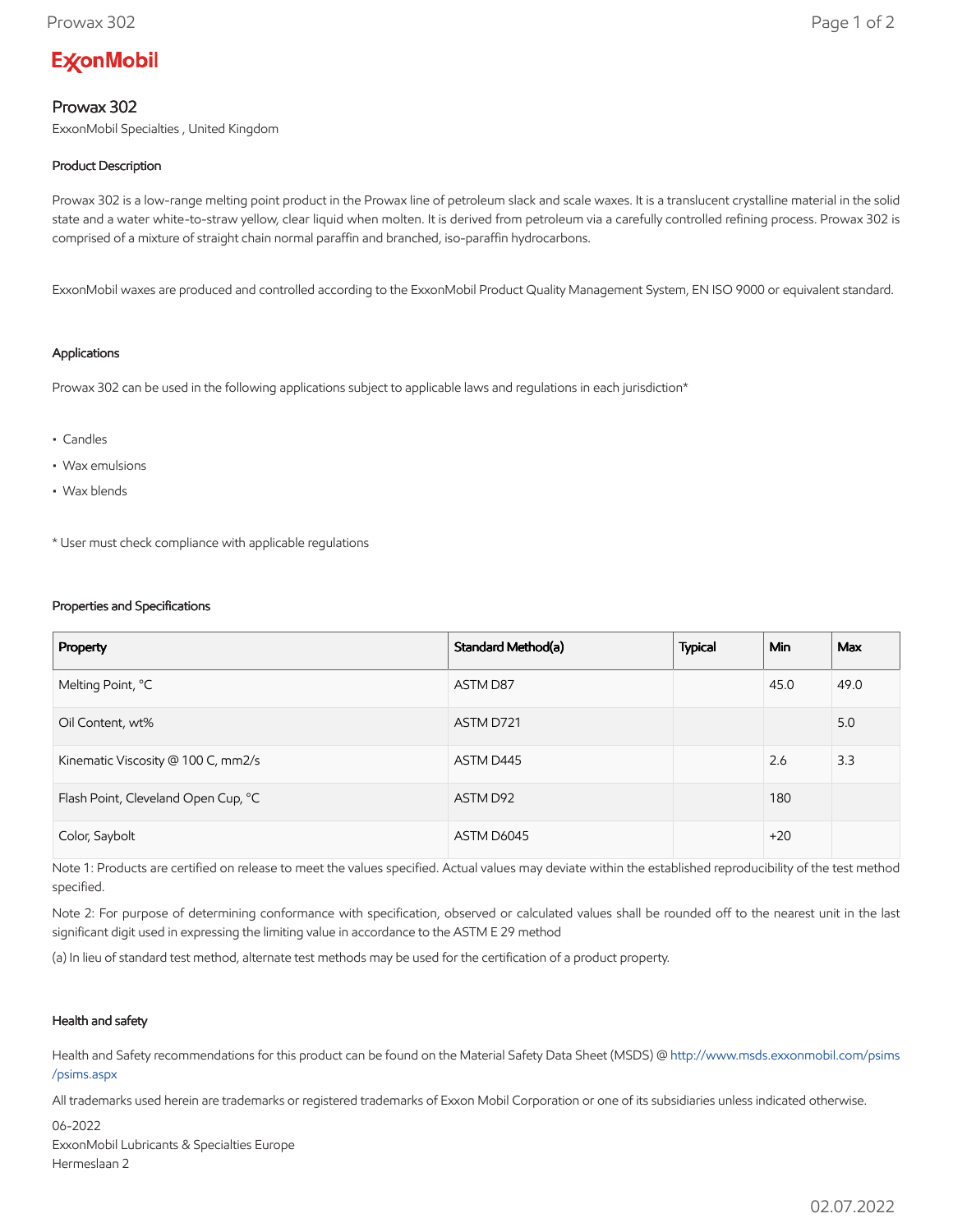# **ExconMobil**

## Prowax 302

ExxonMobil Specialties , United Kingdom

## Product Description

Prowax 302 is a low-range melting point product in the Prowax line of petroleum slack and scale waxes. It is a translucent crystalline material in the solid state and a water white-to-straw yellow, clear liquid when molten. It is derived from petroleum via a carefully controlled refining process. Prowax 302 is comprised of a mixture of straight chain normal paraffin and branched, iso-paraffin hydrocarbons.

ExxonMobil waxes are produced and controlled according to the ExxonMobil Product Quality Management System, EN ISO 9000 or equivalent standard.

#### Applications

Prowax 302 can be used in the following applications subject to applicable laws and regulations in each jurisdiction\*

- Candles
- Wax emulsions
- Wax blends

\* User must check compliance with applicable regulations

#### Properties and Specifications

| Property                            | Standard Method(a) | <b>Typical</b> | <b>Min</b> | Max  |
|-------------------------------------|--------------------|----------------|------------|------|
| Melting Point, °C                   | ASTM D87           |                | 45.0       | 49.0 |
| Oil Content, wt%                    | ASTM D721          |                |            | 5.0  |
| Kinematic Viscosity @ 100 C, mm2/s  | ASTM D445          |                | 2.6        | 3.3  |
| Flash Point, Cleveland Open Cup, °C | ASTM D92           |                | 180        |      |
| Color, Saybolt                      | ASTM D6045         |                | $+20$      |      |

Note 1: Products are certified on release to meet the values specified. Actual values may deviate within the established reproducibility of the test method specified.

Note 2: For purpose of determining conformance with specification, observed or calculated values shall be rounded off to the nearest unit in the last significant digit used in expressing the limiting value in accordance to the ASTM E 29 method

(a) In lieu of standard test method, alternate test methods may be used for the certification of a product property.

#### Health and safety

Health and Safety recommendations for this product can be found on the Material Safety Data Sheet (MSDS) @ [http://www.msds.exxonmobil.com/psims](http://www.msds.exxonmobil.com/psims/psims.aspx) /psims.aspx

All trademarks used herein are trademarks or registered trademarks of Exxon Mobil Corporation or one of its subsidiaries unless indicated otherwise.

06-2022 ExxonMobil Lubricants & Specialties Europe Hermeslaan 2